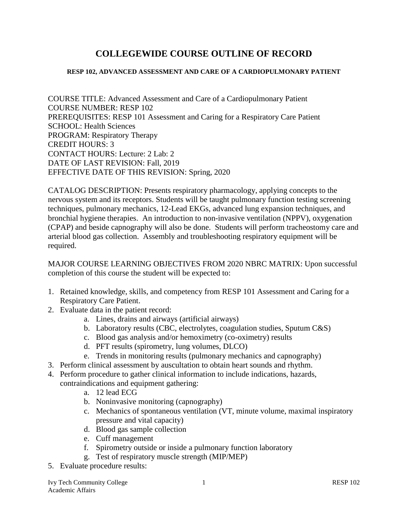# **COLLEGEWIDE COURSE OUTLINE OF RECORD**

#### **RESP 102, ADVANCED ASSESSMENT AND CARE OF A CARDIOPULMONARY PATIENT**

COURSE TITLE: Advanced Assessment and Care of a Cardiopulmonary Patient COURSE NUMBER: RESP 102 PREREQUISITES: RESP 101 Assessment and Caring for a Respiratory Care Patient SCHOOL: Health Sciences PROGRAM: Respiratory Therapy CREDIT HOURS: 3 CONTACT HOURS: Lecture: 2 Lab: 2 DATE OF LAST REVISION: Fall, 2019 EFFECTIVE DATE OF THIS REVISION: Spring, 2020

CATALOG DESCRIPTION: Presents respiratory pharmacology, applying concepts to the nervous system and its receptors. Students will be taught pulmonary function testing screening techniques, pulmonary mechanics, 12-Lead EKGs, advanced lung expansion techniques, and bronchial hygiene therapies. An introduction to non-invasive ventilation (NPPV), oxygenation (CPAP) and beside capnography will also be done. Students will perform tracheostomy care and arterial blood gas collection. Assembly and troubleshooting respiratory equipment will be required.

MAJOR COURSE LEARNING OBJECTIVES FROM 2020 NBRC MATRIX: Upon successful completion of this course the student will be expected to:

- 1. Retained knowledge, skills, and competency from RESP 101 Assessment and Caring for a Respiratory Care Patient.
- 2. Evaluate data in the patient record:
	- a. Lines, drains and airways (artificial airways)
	- b. Laboratory results (CBC, electrolytes, coagulation studies, Sputum C&S)
	- c. Blood gas analysis and/or hemoximetry (co-oximetry) results
	- d. PFT results (spirometry, lung volumes, DLCO)
	- e. Trends in monitoring results (pulmonary mechanics and capnography)
- 3. Perform clinical assessment by auscultation to obtain heart sounds and rhythm.
- 4. Perform procedure to gather clinical information to include indications, hazards, contraindications and equipment gathering:
	- a. 12 lead ECG
	- b. Noninvasive monitoring (capnography)
	- c. Mechanics of spontaneous ventilation (VT, minute volume, maximal inspiratory pressure and vital capacity)
	- d. Blood gas sample collection
	- e. Cuff management
	- f. Spirometry outside or inside a pulmonary function laboratory
	- g. Test of respiratory muscle strength (MIP/MEP)
- 5. Evaluate procedure results: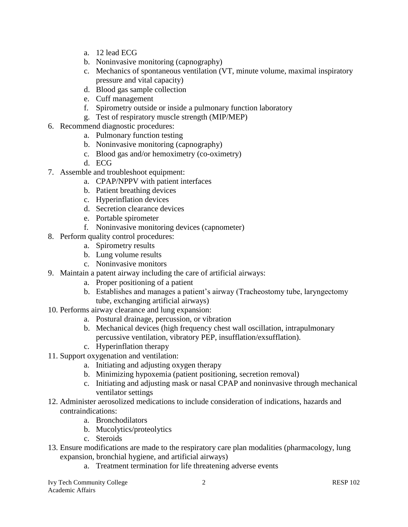- a. 12 lead ECG
- b. Noninvasive monitoring (capnography)
- c. Mechanics of spontaneous ventilation (VT, minute volume, maximal inspiratory pressure and vital capacity)
- d. Blood gas sample collection
- e. Cuff management
- f. Spirometry outside or inside a pulmonary function laboratory
- g. Test of respiratory muscle strength (MIP/MEP)
- 6. Recommend diagnostic procedures:
	- a. Pulmonary function testing
	- b. Noninvasive monitoring (capnography)
	- c. Blood gas and/or hemoximetry (co-oximetry)
	- d. ECG
- 7. Assemble and troubleshoot equipment:
	- a. CPAP/NPPV with patient interfaces
	- b. Patient breathing devices
	- c. Hyperinflation devices
	- d. Secretion clearance devices
	- e. Portable spirometer
	- f. Noninvasive monitoring devices (capnometer)
- 8. Perform quality control procedures:
	- a. Spirometry results
	- b. Lung volume results
	- c. Noninvasive monitors
- 9. Maintain a patent airway including the care of artificial airways:
	- a. Proper positioning of a patient
	- b. Establishes and manages a patient's airway (Tracheostomy tube, laryngectomy tube, exchanging artificial airways)
- 10. Performs airway clearance and lung expansion:
	- a. Postural drainage, percussion, or vibration
	- b. Mechanical devices (high frequency chest wall oscillation, intrapulmonary percussive ventilation, vibratory PEP, insufflation/exsufflation).
	- c. Hyperinflation therapy
- 11. Support oxygenation and ventilation:
	- a. Initiating and adjusting oxygen therapy
	- b. Minimizing hypoxemia (patient positioning, secretion removal)
	- c. Initiating and adjusting mask or nasal CPAP and noninvasive through mechanical ventilator settings
- 12. Administer aerosolized medications to include consideration of indications, hazards and contraindications:
	- a. Bronchodilators
	- b. Mucolytics/proteolytics
	- c. Steroids
- 13. Ensure modifications are made to the respiratory care plan modalities (pharmacology, lung expansion, bronchial hygiene, and artificial airways)
	- a. Treatment termination for life threatening adverse events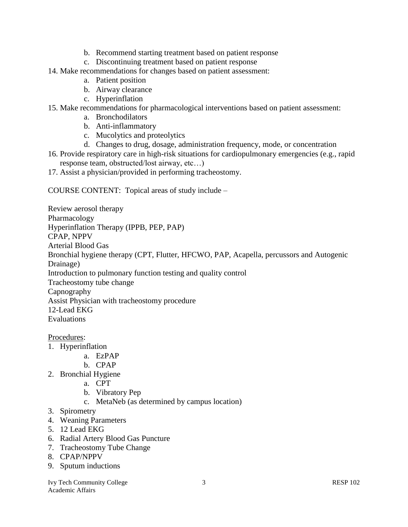- b. Recommend starting treatment based on patient response
- c. Discontinuing treatment based on patient response
- 14. Make recommendations for changes based on patient assessment:
	- a. Patient position
	- b. Airway clearance
	- c. Hyperinflation
- 15. Make recommendations for pharmacological interventions based on patient assessment:
	- a. Bronchodilators
	- b. Anti-inflammatory
	- c. Mucolytics and proteolytics
	- d. Changes to drug, dosage, administration frequency, mode, or concentration
- 16. Provide respiratory care in high-risk situations for cardiopulmonary emergencies (e.g., rapid response team, obstructed/lost airway, etc…)
- 17. Assist a physician/provided in performing tracheostomy.

COURSE CONTENT: Topical areas of study include –

Review aerosol therapy Pharmacology Hyperinflation Therapy (IPPB, PEP, PAP) CPAP, NPPV Arterial Blood Gas Bronchial hygiene therapy (CPT, Flutter, HFCWO, PAP, Acapella, percussors and Autogenic Drainage) Introduction to pulmonary function testing and quality control Tracheostomy tube change Capnography Assist Physician with tracheostomy procedure 12-Lead EKG Evaluations

Procedures:

- 1. Hyperinflation
	- a. EzPAP
	- b. CPAP
- 2. Bronchial Hygiene
	- a. CPT
	- b. Vibratory Pep
	- c. MetaNeb (as determined by campus location)
- 3. Spirometry
- 4. Weaning Parameters
- 5. 12 Lead EKG
- 6. Radial Artery Blood Gas Puncture
- 7. Tracheostomy Tube Change
- 8. CPAP/NPPV
- 9. Sputum inductions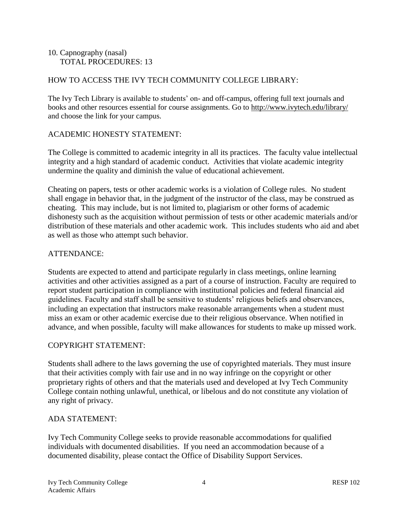## 10. Capnography (nasal) TOTAL PROCEDURES: 13

## HOW TO ACCESS THE IVY TECH COMMUNITY COLLEGE LIBRARY:

The Ivy Tech Library is available to students' on- and off-campus, offering full text journals and books and other resources essential for course assignments. Go to<http://www.ivytech.edu/library/> and choose the link for your campus.

### ACADEMIC HONESTY STATEMENT:

The College is committed to academic integrity in all its practices. The faculty value intellectual integrity and a high standard of academic conduct. Activities that violate academic integrity undermine the quality and diminish the value of educational achievement.

Cheating on papers, tests or other academic works is a violation of College rules. No student shall engage in behavior that, in the judgment of the instructor of the class, may be construed as cheating. This may include, but is not limited to, plagiarism or other forms of academic dishonesty such as the acquisition without permission of tests or other academic materials and/or distribution of these materials and other academic work. This includes students who aid and abet as well as those who attempt such behavior.

## ATTENDANCE:

Students are expected to attend and participate regularly in class meetings, online learning activities and other activities assigned as a part of a course of instruction. Faculty are required to report student participation in compliance with institutional policies and federal financial aid guidelines. Faculty and staff shall be sensitive to students' religious beliefs and observances, including an expectation that instructors make reasonable arrangements when a student must miss an exam or other academic exercise due to their religious observance. When notified in advance, and when possible, faculty will make allowances for students to make up missed work.

### COPYRIGHT STATEMENT:

Students shall adhere to the laws governing the use of copyrighted materials. They must insure that their activities comply with fair use and in no way infringe on the copyright or other proprietary rights of others and that the materials used and developed at Ivy Tech Community College contain nothing unlawful, unethical, or libelous and do not constitute any violation of any right of privacy.

### ADA STATEMENT:

Ivy Tech Community College seeks to provide reasonable accommodations for qualified individuals with documented disabilities. If you need an accommodation because of a documented disability, please contact the Office of Disability Support Services.